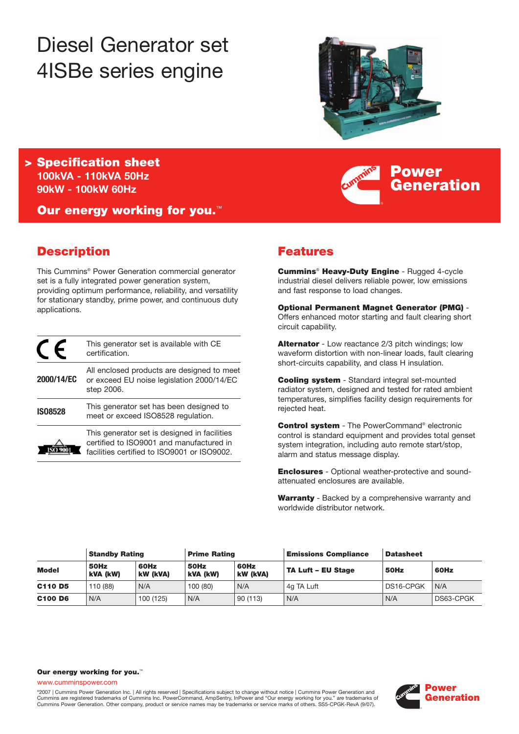# Diesel Generator set 4ISBe series engine



**Power**

**Generation**

**> Specification sheet 100kVA - 110kVA 50Hz 90kW - 100kW 60Hz**

**Our energy working for you.**™

# **Description**

This Cummins® Power Generation commercial generator set is a fully integrated power generation system, providing optimum performance, reliability, and versatility for stationary standby, prime power, and continuous duty applications.

|                | This generator set is available with CE<br>certification.                                                                               |
|----------------|-----------------------------------------------------------------------------------------------------------------------------------------|
| 2000/14/EC     | All enclosed products are designed to meet<br>or exceed EU noise legislation 2000/14/EC<br>step 2006.                                   |
| <b>IS08528</b> | This generator set has been designed to<br>meet or exceed ISO8528 regulation.                                                           |
|                | This generator set is designed in facilities<br>certified to ISO9001 and manufactured in<br>facilities certified to ISO9001 or ISO9002. |

# **Features**

**Cummins**® **Heavy-Duty Engine** - Rugged 4-cycle industrial diesel delivers reliable power, low emissions and fast response to load changes.

**Optional Permanent Magnet Generator (PMG)** - Offers enhanced motor starting and fault clearing short circuit capability.

**Alternator** - Low reactance 2/3 pitch windings; low waveform distortion with non-linear loads, fault clearing short-circuits capability, and class H insulation.

**Cooling system** - Standard integral set-mounted radiator system, designed and tested for rated ambient temperatures, simplifies facility design requirements for rejected heat.

**Control system** - The PowerCommand® electronic control is standard equipment and provides total genset system integration, including auto remote start/stop, alarm and status message display.

**Enclosures** - Optional weather-protective and soundattenuated enclosures are available.

**Warranty** - Backed by a comprehensive warranty and worldwide distributor network.

|                                 | <b>Standby Rating</b> |                  | <b>Prime Rating</b> |                  | <b>Emissions Compliance</b> | <b>Datasheet</b> |           |
|---------------------------------|-----------------------|------------------|---------------------|------------------|-----------------------------|------------------|-----------|
| <b>Model</b>                    | 50Hz<br>kVA (kW)      | 60Hz<br>kW (kVA) | 50Hz<br>kVA (kW)    | 60Hz<br>kW (kVA) | TA Luft - EU Stage          | 50Hz             | 60Hz      |
| C <sub>110</sub> D <sub>5</sub> | 110 (88)              | N/A              | 100(80)             | N/A              | 4g TA Luft                  | DS16-CPGK        | N/A       |
| C <sub>100</sub> D <sub>6</sub> | N/A                   | 100 (125)        | N/A                 | 90(113)          | N/A                         | N/A              | DS63-CPGK |

#### **Our energy working for you.**™

www.cumminspower.com

°2007 | Cummins Power Generation Inc. | All rights reserved | Specifications subject to change without notice | Cummins Power Generation and<br>Cummins are registered trademarks of Cummins Inc. PowerCommand, AmpSentry, InPow Cummins Power Generation. Other company, product or service names may be trademarks or service marks of others. SS5-CPGK-RevA (9/07).

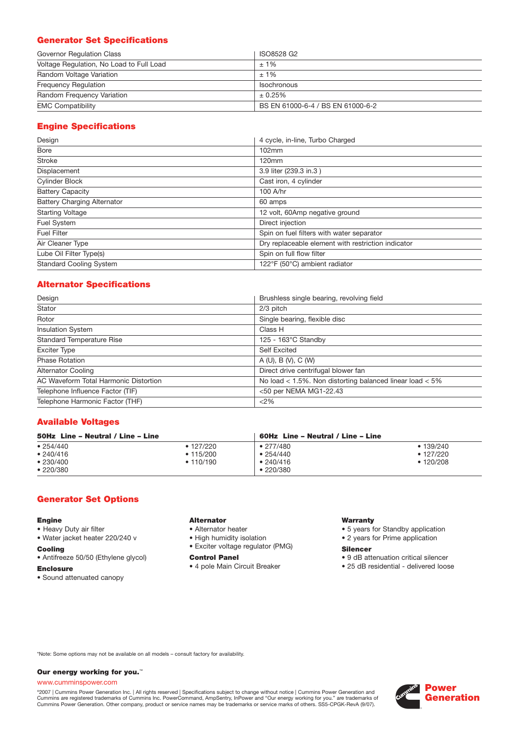# **Generator Set Specifications**

| Governor Regulation Class                | ISO8528 G2                        |
|------------------------------------------|-----------------------------------|
| Voltage Regulation, No Load to Full Load | $±1\%$                            |
| Random Voltage Variation                 | $±1\%$                            |
| <b>Frequency Requiation</b>              | Isochronous                       |
| Random Frequency Variation               | ± 0.25%                           |
| <b>EMC Compatibility</b>                 | BS EN 61000-6-4 / BS EN 61000-6-2 |

# **Engine Specifications**

| Design                             | 4 cycle, in-line, Turbo Charged                    |
|------------------------------------|----------------------------------------------------|
| <b>Bore</b>                        | 102mm                                              |
| <b>Stroke</b>                      | 120mm                                              |
| Displacement                       | 3.9 liter (239.3 in.3)                             |
| Cylinder Block                     | Cast iron, 4 cylinder                              |
| <b>Battery Capacity</b>            | 100 A/hr                                           |
| <b>Battery Charging Alternator</b> | 60 amps                                            |
| <b>Starting Voltage</b>            | 12 volt, 60Amp negative ground                     |
| Fuel System                        | Direct injection                                   |
| <b>Fuel Filter</b>                 | Spin on fuel filters with water separator          |
| Air Cleaner Type                   | Dry replaceable element with restriction indicator |
| Lube Oil Filter Type(s)            | Spin on full flow filter                           |
| <b>Standard Cooling System</b>     | 122°F (50°C) ambient radiator                      |

# **Alternator Specifications**

| Design                                | Brushless single bearing, revolving field                    |
|---------------------------------------|--------------------------------------------------------------|
| Stator                                | 2/3 pitch                                                    |
| Rotor                                 | Single bearing, flexible disc                                |
| <b>Insulation System</b>              | Class H                                                      |
| <b>Standard Temperature Rise</b>      | $125 - 163^{\circ}$ C Standby                                |
| <b>Exciter Type</b>                   | <b>Self Excited</b>                                          |
| <b>Phase Rotation</b>                 | A(U), B(V), C(W)                                             |
| <b>Alternator Cooling</b>             | Direct drive centrifugal blower fan                          |
| AC Waveform Total Harmonic Distortion | No load $<$ 1.5%. Non distorting balanced linear load $<$ 5% |
| Telephone Influence Factor (TIF)      | <50 per NEMA MG1-22.43                                       |
| Telephone Harmonic Factor (THF)       | <2%                                                          |

## **Available Voltages**

| 50Hz Line - Neutral / Line - Line              |                                                   | 60Hz Line - Neutral / Line - Line                                     |                                                 |  |
|------------------------------------------------|---------------------------------------------------|-----------------------------------------------------------------------|-------------------------------------------------|--|
| • 254/440<br>• 240/416<br>•230/400<br>•220/380 | $\bullet$ 127/220<br>$\cdot$ 115/200<br>• 110/190 | $\bullet$ 277/480<br>$\bullet$ 254/440<br>•240/416<br>$\cdot$ 220/380 | • 139/240<br>$\cdot$ 127/220<br>$\cdot$ 120/208 |  |

## **Generator Set Options**

#### **Engine**

- Heavy Duty air filter
- Water jacket heater 220/240 v

## **Cooling**

- Antifreeze 50/50 (Ethylene glycol)
- **Enclosure**
- Sound attenuated canopy

## **Alternator**

- Alternator heater
- High humidity isolation
- Exciter voltage regulator (PMG)

#### **Control Panel**

• 4 pole Main Circuit Breaker

#### **Warranty**

- 5 years for Standby application
- 2 years for Prime application

#### **Silencer**

- 9 dB attenuation critical silencer
- 25 dB residential delivered loose

\*Note: Some options may not be available on all models – consult factory for availability.

#### **Our energy working for you.**™

#### www.cumminspower.com

°2007 | Cummins Power Generation Inc. | All rights reserved | Specifications subject to change without notice | Cummins Power Generation and<br>Cummins are registered trademarks of Cummins Inc. PowerCommand, AmpSentry, InPow

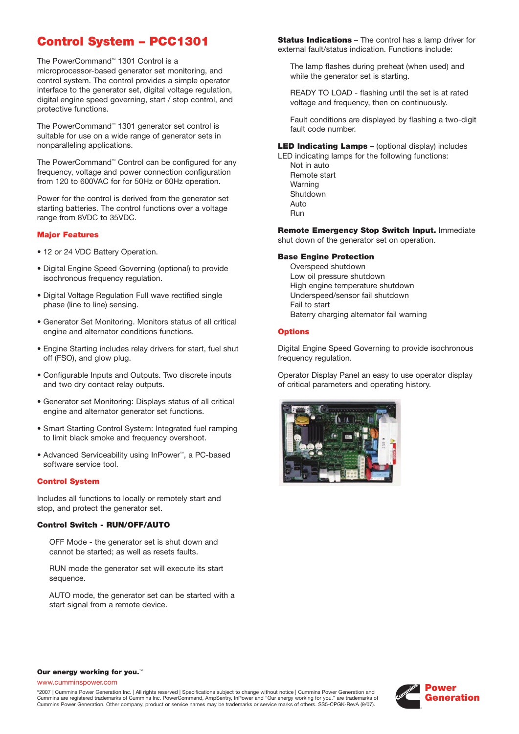# **Control System – PCC1301**

The PowerCommand™ 1301 Control is a microprocessor-based generator set monitoring, and control system. The control provides a simple operator interface to the generator set, digital voltage regulation, digital engine speed governing, start / stop control, and protective functions.

The PowerCommand™ 1301 generator set control is suitable for use on a wide range of generator sets in nonparalleling applications.

The PowerCommand™ Control can be configured for any frequency, voltage and power connection configuration from 120 to 600VAC for for 50Hz or 60Hz operation.

Power for the control is derived from the generator set starting batteries. The control functions over a voltage range from 8VDC to 35VDC.

#### **Major Features**

- 12 or 24 VDC Battery Operation.
- Digital Engine Speed Governing (optional) to provide isochronous frequency regulation.
- Digital Voltage Regulation Full wave rectified single phase (line to line) sensing.
- Generator Set Monitoring. Monitors status of all critical engine and alternator conditions functions.
- Engine Starting includes relay drivers for start, fuel shut off (FSO), and glow plug.
- Configurable Inputs and Outputs. Two discrete inputs and two dry contact relay outputs.
- Generator set Monitoring: Displays status of all critical engine and alternator generator set functions.
- Smart Starting Control System: Integrated fuel ramping to limit black smoke and frequency overshoot.
- Advanced Serviceability using InPower™, a PC-based software service tool.

#### **Control System**

Includes all functions to locally or remotely start and stop, and protect the generator set.

#### **Control Switch - RUN/OFF/AUTO**

OFF Mode - the generator set is shut down and cannot be started; as well as resets faults.

RUN mode the generator set will execute its start sequence.

AUTO mode, the generator set can be started with a start signal from a remote device.

**Status Indications** – The control has a lamp driver for external fault/status indication. Functions include:

The lamp flashes during preheat (when used) and while the generator set is starting.

READY TO LOAD - flashing until the set is at rated voltage and frequency, then on continuously.

Fault conditions are displayed by flashing a two-digit fault code number.

**LED Indicating Lamps** – (optional display) includes

LED indicating lamps for the following functions: Not in auto Remote start Warning Shutdown Auto Run

**Remote Emergency Stop Switch Input.** Immediate shut down of the generator set on operation.

#### **Base Engine Protection**

Overspeed shutdown Low oil pressure shutdown High engine temperature shutdown Underspeed/sensor fail shutdown Fail to start Baterry charging alternator fail warning

#### **Options**

Digital Engine Speed Governing to provide isochronous frequency regulation.

Operator Display Panel an easy to use operator display of critical parameters and operating history.



#### **Our energy working for you.**™

www.cumminspower.com

©2007 | Cummins Power Generation Inc. | All rights reserved | Specifications subject to change without notice | Cummins Power Generation and Cummins are registered trademarks of Cummins Inc. PowerCommand, AmpSentry, InPower and "Our energy working for you." are trademarks of Cummins Power Generation. Other company, product or service names may be trademarks or service marks of others. SS5-CPGK-RevA (9/07).